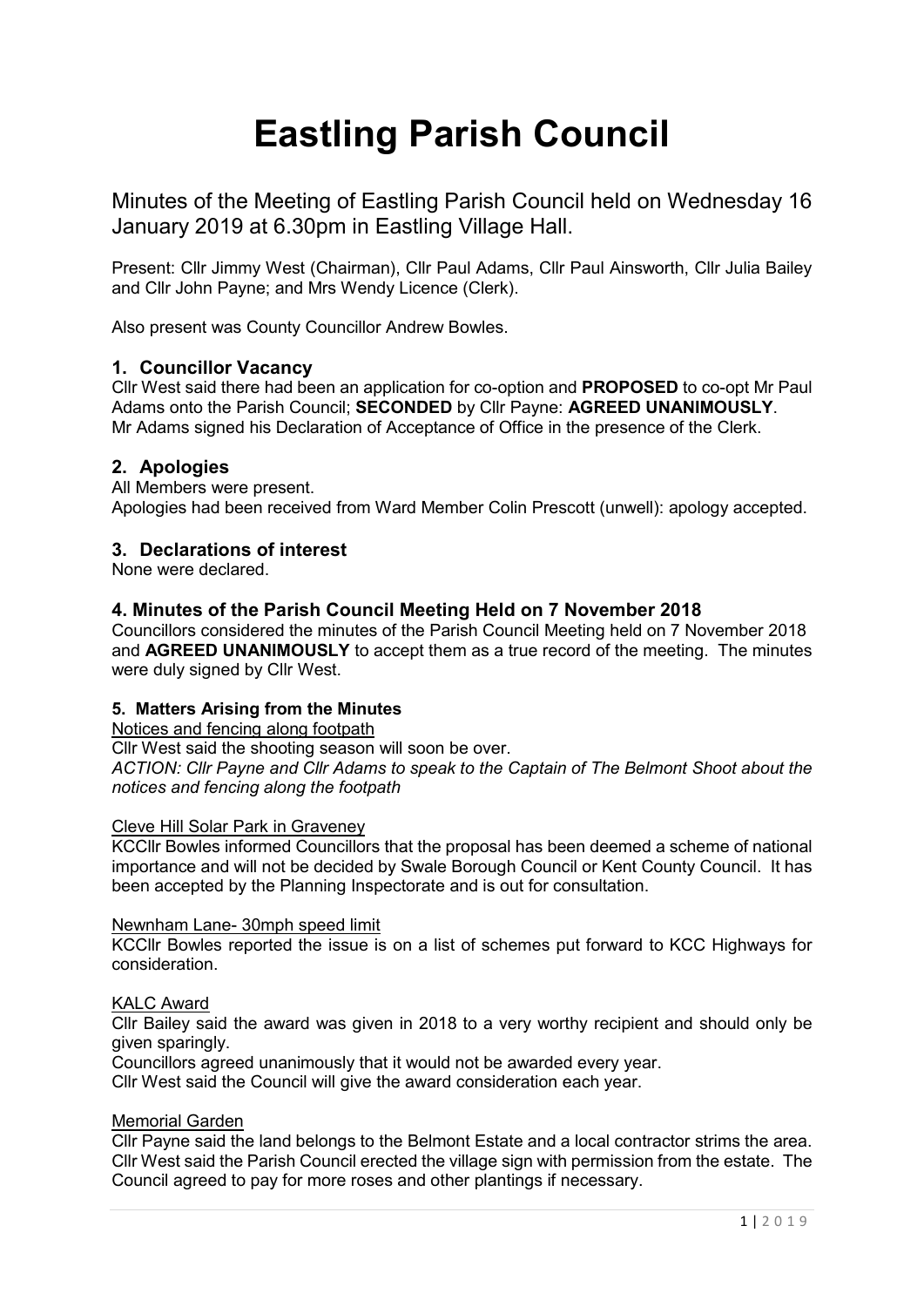# **Eastling Parish Council**

Minutes of the Meeting of Eastling Parish Council held on Wednesday 16 January 2019 at 6.30pm in Eastling Village Hall.

Present: Cllr Jimmy West (Chairman), Cllr Paul Adams, Cllr Paul Ainsworth, Cllr Julia Bailey and Cllr John Payne; and Mrs Wendy Licence (Clerk).

Also present was County Councillor Andrew Bowles.

# **1. Councillor Vacancy**

Cllr West said there had been an application for co-option and **PROPOSED** to co-opt Mr Paul Adams onto the Parish Council; **SECONDED** by Cllr Payne: **AGREED UNANIMOUSLY**. Mr Adams signed his Declaration of Acceptance of Office in the presence of the Clerk.

# **2. Apologies**

All Members were present. Apologies had been received from Ward Member Colin Prescott (unwell): apology accepted.

# **3. Declarations of interest**

None were declared.

# **4. Minutes of the Parish Council Meeting Held on 7 November 2018**

Councillors considered the minutes of the Parish Council Meeting held on 7 November 2018 and **AGREED UNANIMOUSLY** to accept them as a true record of the meeting. The minutes were duly signed by Cllr West.

## **5. Matters Arising from the Minutes**

Notices and fencing along footpath

Cllr West said the shooting season will soon be over.

*ACTION: Cllr Payne and Cllr Adams to speak to the Captain of The Belmont Shoot about the notices and fencing along the footpath*

#### Cleve Hill Solar Park in Graveney

KCCllr Bowles informed Councillors that the proposal has been deemed a scheme of national importance and will not be decided by Swale Borough Council or Kent County Council. It has been accepted by the Planning Inspectorate and is out for consultation.

#### Newnham Lane- 30mph speed limit

KCCllr Bowles reported the issue is on a list of schemes put forward to KCC Highways for consideration.

## KALC Award

Cllr Bailey said the award was given in 2018 to a very worthy recipient and should only be given sparingly.

Councillors agreed unanimously that it would not be awarded every year.

Cllr West said the Council will give the award consideration each year.

# Memorial Garden

Cllr Payne said the land belongs to the Belmont Estate and a local contractor strims the area. Cllr West said the Parish Council erected the village sign with permission from the estate. The Council agreed to pay for more roses and other plantings if necessary.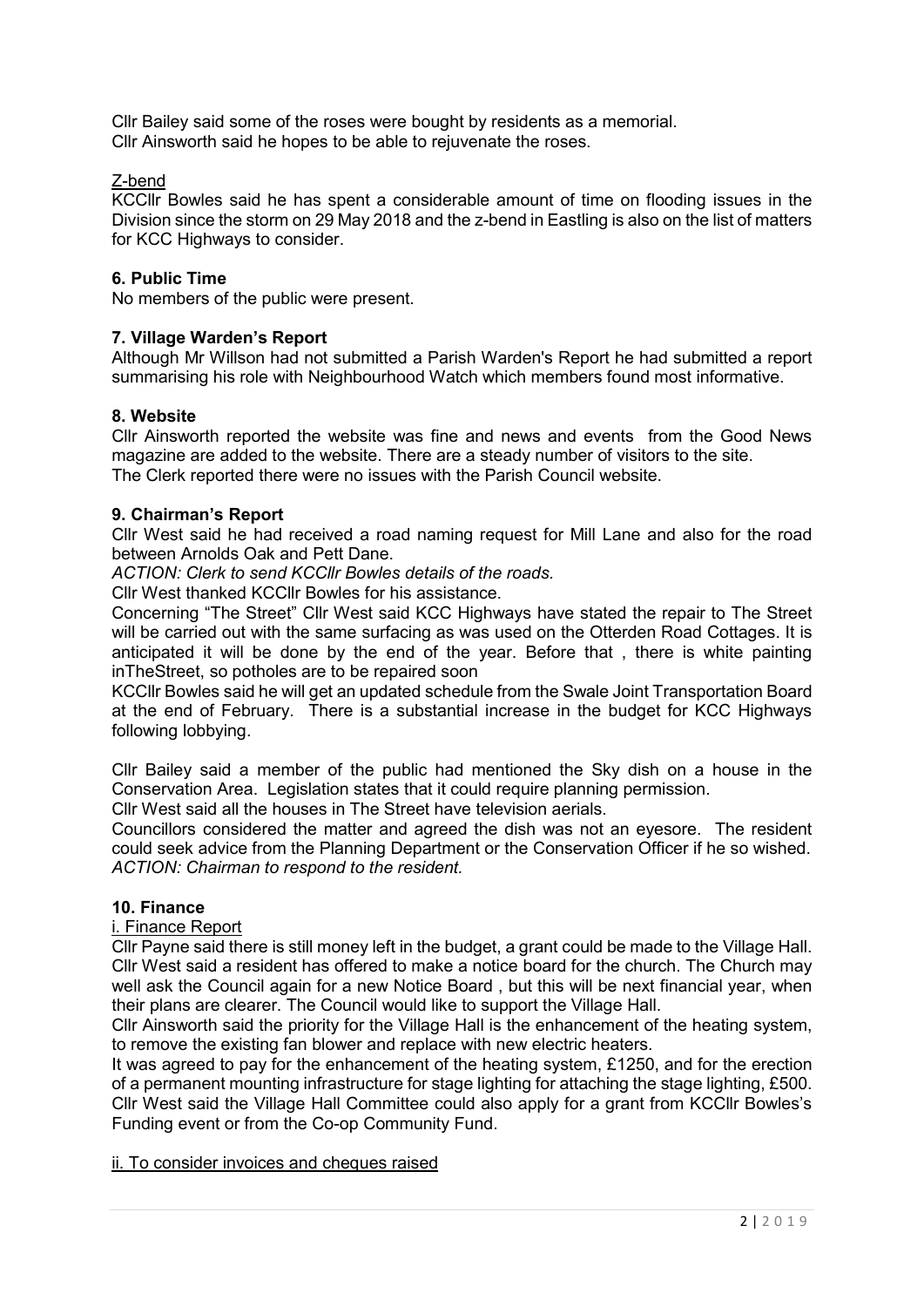Cllr Bailey said some of the roses were bought by residents as a memorial. Cllr Ainsworth said he hopes to be able to rejuvenate the roses.

# Z-bend

KCCllr Bowles said he has spent a considerable amount of time on flooding issues in the Division since the storm on 29 May 2018 and the z-bend in Eastling is also on the list of matters for KCC Highways to consider.

# **6. Public Time**

No members of the public were present.

# **7. Village Warden's Report**

Although Mr Willson had not submitted a Parish Warden's Report he had submitted a report summarising his role with Neighbourhood Watch which members found most informative.

## **8. Website**

Cllr Ainsworth reported the website was fine and news and events from the Good News magazine are added to the website. There are a steady number of visitors to the site. The Clerk reported there were no issues with the Parish Council website.

## **9. Chairman's Report**

Cllr West said he had received a road naming request for Mill Lane and also for the road between Arnolds Oak and Pett Dane.

*ACTION: Clerk to send KCCllr Bowles details of the roads.*

Cllr West thanked KCCllr Bowles for his assistance.

Concerning "The Street" Cllr West said KCC Highways have stated the repair to The Street will be carried out with the same surfacing as was used on the Otterden Road Cottages. It is anticipated it will be done by the end of the year. Before that , there is white painting inTheStreet, so potholes are to be repaired soon

KCCllr Bowles said he will get an updated schedule from the Swale Joint Transportation Board at the end of February. There is a substantial increase in the budget for KCC Highways following lobbying.

Cllr Bailey said a member of the public had mentioned the Sky dish on a house in the Conservation Area. Legislation states that it could require planning permission.

Cllr West said all the houses in The Street have television aerials.

Councillors considered the matter and agreed the dish was not an eyesore. The resident could seek advice from the Planning Department or the Conservation Officer if he so wished. *ACTION: Chairman to respond to the resident.*

# **10. Finance**

#### i. Finance Report

Cllr Payne said there is still money left in the budget, a grant could be made to the Village Hall. Cllr West said a resident has offered to make a notice board for the church. The Church may well ask the Council again for a new Notice Board , but this will be next financial year, when their plans are clearer. The Council would like to support the Village Hall.

Cllr Ainsworth said the priority for the Village Hall is the enhancement of the heating system, to remove the existing fan blower and replace with new electric heaters.

It was agreed to pay for the enhancement of the heating system, £1250, and for the erection of a permanent mounting infrastructure for stage lighting for attaching the stage lighting, £500. Cllr West said the Village Hall Committee could also apply for a grant from KCCllr Bowles's Funding event or from the Co-op Community Fund.

#### ii. To consider invoices and cheques raised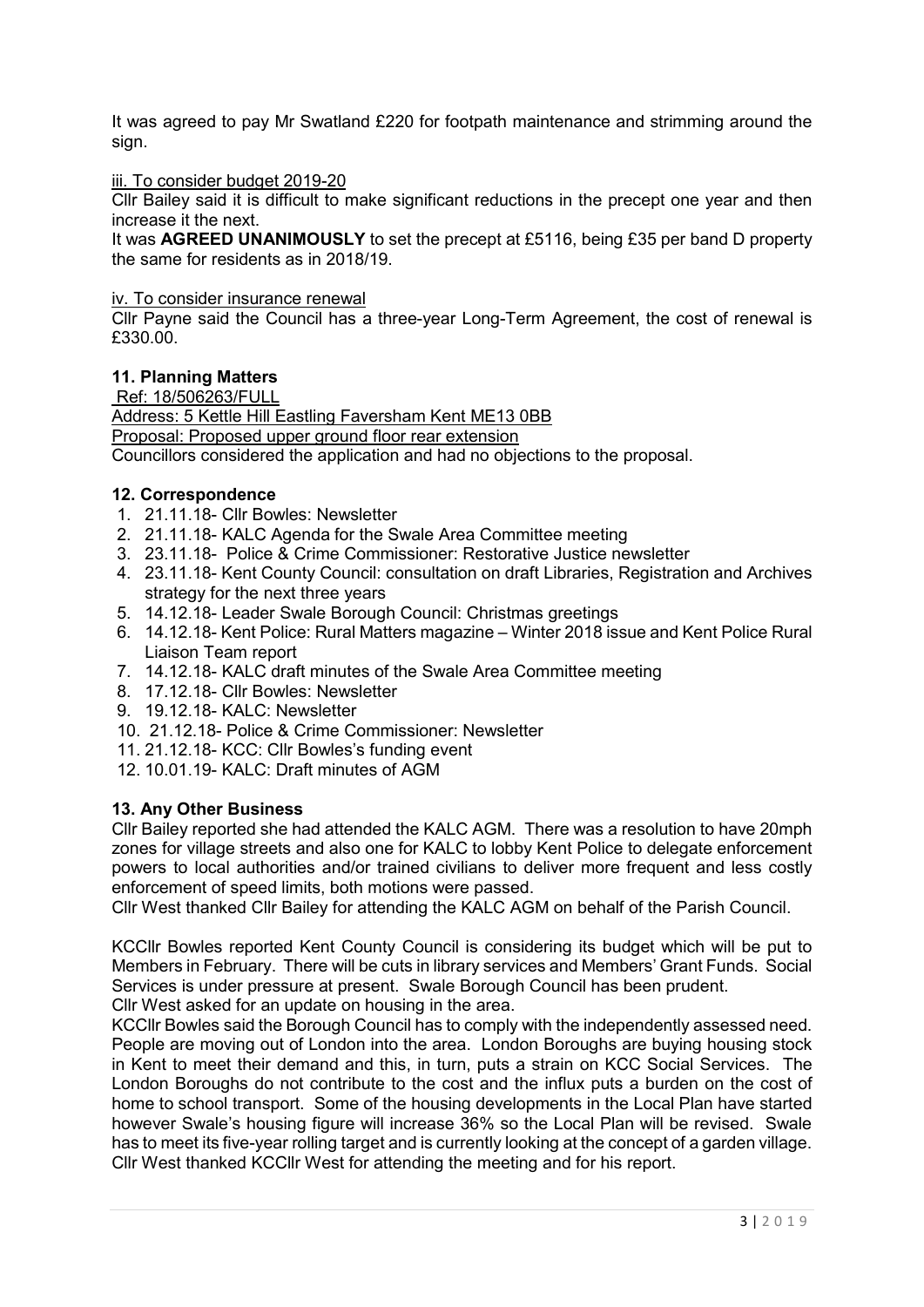It was agreed to pay Mr Swatland £220 for footpath maintenance and strimming around the sign.

#### iii. To consider budget 2019-20

Cllr Bailey said it is difficult to make significant reductions in the precept one year and then increase it the next.

It was **AGREED UNANIMOUSLY** to set the precept at £5116, being £35 per band D property the same for residents as in 2018/19.

## iv. To consider insurance renewal

Cllr Payne said the Council has a three-year Long-Term Agreement, the cost of renewal is £330.00.

## **11. Planning Matters**

Ref: 18/506263/FULL

Address: 5 Kettle Hill Eastling Faversham Kent ME13 0BB

Proposal: Proposed upper ground floor rear extension

Councillors considered the application and had no objections to the proposal.

#### **12. Correspondence**

- 1. 21.11.18- Cllr Bowles: Newsletter
- 2. 21.11.18- KALC Agenda for the Swale Area Committee meeting
- 3. 23.11.18- Police & Crime Commissioner: Restorative Justice newsletter
- 4. 23.11.18- Kent County Council: consultation on draft Libraries, Registration and Archives strategy for the next three years
- 5. 14.12.18- Leader Swale Borough Council: Christmas greetings
- 6. 14.12.18- Kent Police: Rural Matters magazine Winter 2018 issue and Kent Police Rural Liaison Team report
- 7. 14.12.18- KALC draft minutes of the Swale Area Committee meeting
- 8. 17.12.18- Cllr Bowles: Newsletter
- 9. 19.12.18- KALC: Newsletter
- 10. 21.12.18- Police & Crime Commissioner: Newsletter
- 11. 21.12.18- KCC: Cllr Bowles's funding event
- 12. 10.01.19- KALC: Draft minutes of AGM

## **13. Any Other Business**

Cllr Bailey reported she had attended the KALC AGM. There was a resolution to have 20mph zones for village streets and also one for KALC to lobby Kent Police to delegate enforcement powers to local authorities and/or trained civilians to deliver more frequent and less costly enforcement of speed limits, both motions were passed.

Cllr West thanked Cllr Bailey for attending the KALC AGM on behalf of the Parish Council.

KCCllr Bowles reported Kent County Council is considering its budget which will be put to Members in February. There will be cuts in library services and Members' Grant Funds. Social Services is under pressure at present. Swale Borough Council has been prudent.

Cllr West asked for an update on housing in the area.

KCCllr Bowles said the Borough Council has to comply with the independently assessed need. People are moving out of London into the area. London Boroughs are buying housing stock in Kent to meet their demand and this, in turn, puts a strain on KCC Social Services. The London Boroughs do not contribute to the cost and the influx puts a burden on the cost of home to school transport. Some of the housing developments in the Local Plan have started however Swale's housing figure will increase 36% so the Local Plan will be revised. Swale has to meet its five-year rolling target and is currently looking at the concept of a garden village. Cllr West thanked KCCllr West for attending the meeting and for his report.